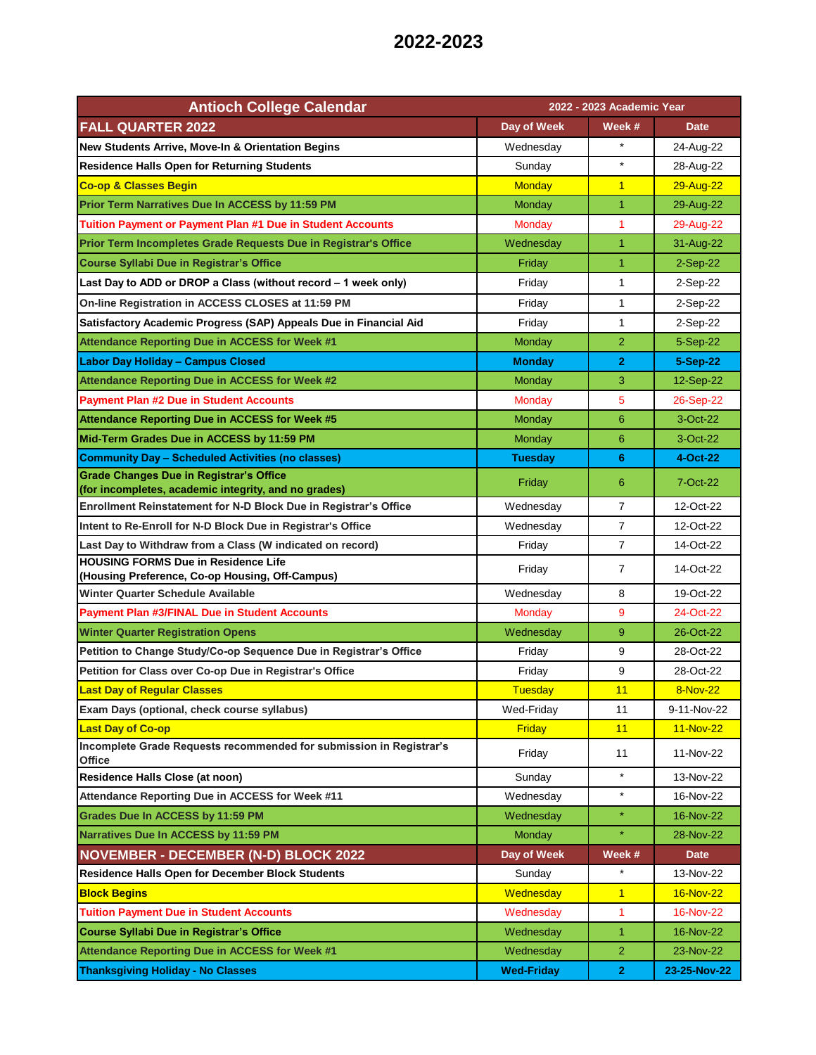| <b>Antioch College Calendar</b>                                                                        | 2022 - 2023 Academic Year |                |              |
|--------------------------------------------------------------------------------------------------------|---------------------------|----------------|--------------|
| <b>FALL QUARTER 2022</b>                                                                               | Day of Week               | Week #         | <b>Date</b>  |
| <b>New Students Arrive, Move-In &amp; Orientation Begins</b>                                           | Wednesday                 |                | 24-Aug-22    |
| <b>Residence Halls Open for Returning Students</b>                                                     | Sunday                    | $\star$        | 28-Aug-22    |
| <b>Co-op &amp; Classes Begin</b>                                                                       | <b>Monday</b>             | $\overline{1}$ | 29-Aug-22    |
| Prior Term Narratives Due In ACCESS by 11:59 PM                                                        | Monday                    | $\overline{1}$ | 29-Aug-22    |
| <b>Tuition Payment or Payment Plan #1 Due in Student Accounts</b>                                      | Monday                    | 1              | 29-Aug-22    |
| Prior Term Incompletes Grade Requests Due in Registrar's Office                                        | Wednesday                 | $\mathbf{1}$   | 31-Aug-22    |
| <b>Course Syllabi Due in Registrar's Office</b>                                                        | Friday                    | $\overline{1}$ | $2-Sep-22$   |
| Last Day to ADD or DROP a Class (without record - 1 week only)                                         | Friday                    | 1              | 2-Sep-22     |
| On-line Registration in ACCESS CLOSES at 11:59 PM                                                      | Friday                    | 1              | 2-Sep-22     |
| Satisfactory Academic Progress (SAP) Appeals Due in Financial Aid                                      | Friday                    | 1              | 2-Sep-22     |
| Attendance Reporting Due in ACCESS for Week #1                                                         | Monday                    | $\overline{2}$ | 5-Sep-22     |
| <b>Labor Day Holiday - Campus Closed</b>                                                               | <b>Monday</b>             | $\mathbf{2}$   | 5-Sep-22     |
| <b>Attendance Reporting Due in ACCESS for Week #2</b>                                                  | Monday                    | 3              | 12-Sep-22    |
| <b>Payment Plan #2 Due in Student Accounts</b>                                                         | Monday                    | 5              | 26-Sep-22    |
| Attendance Reporting Due in ACCESS for Week #5                                                         | <b>Monday</b>             | 6              | 3-Oct-22     |
| Mid-Term Grades Due in ACCESS by 11:59 PM                                                              | Monday                    | 6              | 3-Oct-22     |
| <b>Community Day - Scheduled Activities (no classes)</b>                                               | Tuesday                   | 6              | 4-Oct-22     |
| <b>Grade Changes Due in Registrar's Office</b><br>(for incompletes, academic integrity, and no grades) | Friday                    | 6              | 7-Oct-22     |
| Enrollment Reinstatement for N-D Block Due in Registrar's Office                                       | Wednesday                 | 7              | 12-Oct-22    |
| Intent to Re-Enroll for N-D Block Due in Registrar's Office                                            | Wednesday                 | $\overline{7}$ | 12-Oct-22    |
| Last Day to Withdraw from a Class (W indicated on record)                                              | Friday                    | $\overline{7}$ | 14-Oct-22    |
| <b>HOUSING FORMS Due in Residence Life</b><br>(Housing Preference, Co-op Housing, Off-Campus)          | Friday                    | $\overline{7}$ | 14-Oct-22    |
| Winter Quarter Schedule Available                                                                      | Wednesday                 | 8              | 19-Oct-22    |
| <b>Payment Plan #3/FINAL Due in Student Accounts</b>                                                   | Monday                    | 9              | 24-Oct-22    |
| <b>Winter Quarter Registration Opens</b>                                                               | Wednesday                 | 9              | 26-Oct-22    |
| Petition to Change Study/Co-op Sequence Due in Registrar's Office                                      | Friday                    | 9              | 28-Oct-22    |
| Petition for Class over Co-op Due in Registrar's Office                                                | Friday                    | 9              | 28-Oct-22    |
| <b>Last Day of Regular Classes</b>                                                                     | Tuesday                   | 11             | 8-Nov-22     |
| Exam Days (optional, check course syllabus)                                                            | Wed-Friday                | 11             | 9-11-Nov-22  |
| <b>Last Day of Co-op</b>                                                                               | Friday                    | 11             | 11-Nov-22    |
| Incomplete Grade Requests recommended for submission in Registrar's<br>Office                          | Friday                    | 11             | 11-Nov-22    |
| <b>Residence Halls Close (at noon)</b>                                                                 | Sunday                    | $\star$        | 13-Nov-22    |
| Attendance Reporting Due in ACCESS for Week #11                                                        | Wednesday                 | $\star$        | 16-Nov-22    |
| Grades Due In ACCESS by 11:59 PM                                                                       | Wednesday                 | $\star$        | 16-Nov-22    |
| Narratives Due In ACCESS by 11:59 PM                                                                   | Monday                    | $\star$        | 28-Nov-22    |
| <b>NOVEMBER - DECEMBER (N-D) BLOCK 2022</b>                                                            | Day of Week               | Week #         | <b>Date</b>  |
| <b>Residence Halls Open for December Block Students</b>                                                | Sunday                    | $\star$        | 13-Nov-22    |
| <b>Block Begins</b>                                                                                    | Wednesday                 | $\overline{1}$ | 16-Nov-22    |
| <b>Tuition Payment Due in Student Accounts</b>                                                         | Wednesday                 | 1              | 16-Nov-22    |
| <b>Course Syllabi Due in Registrar's Office</b>                                                        | Wednesday                 | 1              | 16-Nov-22    |
| Attendance Reporting Due in ACCESS for Week #1                                                         | Wednesday                 | $\overline{2}$ | 23-Nov-22    |
| <b>Thanksgiving Holiday - No Classes</b>                                                               | <b>Wed-Friday</b>         | $\mathbf{2}$   | 23-25-Nov-22 |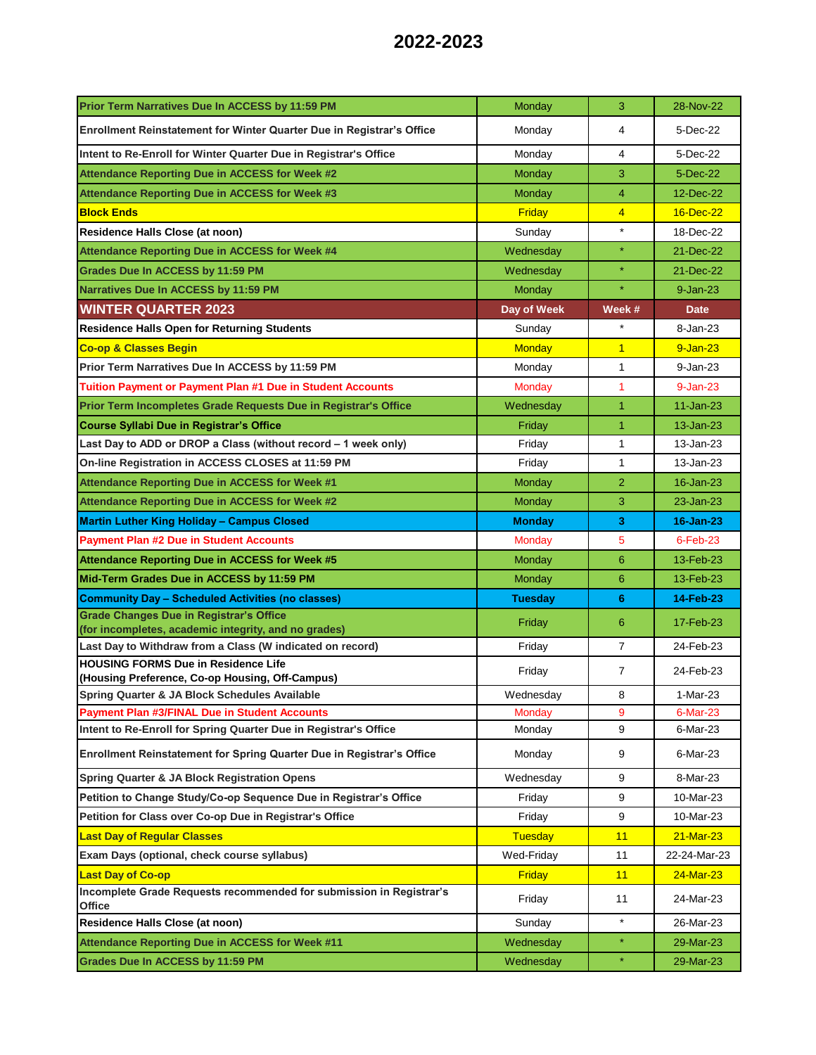| Prior Term Narratives Due In ACCESS by 11:59 PM                                                        | Monday         | 3              | 28-Nov-22    |
|--------------------------------------------------------------------------------------------------------|----------------|----------------|--------------|
| Enrollment Reinstatement for Winter Quarter Due in Registrar's Office                                  | Monday         | 4              | 5-Dec-22     |
| Intent to Re-Enroll for Winter Quarter Due in Registrar's Office                                       | Monday         | 4              | 5-Dec-22     |
| <b>Attendance Reporting Due in ACCESS for Week #2</b>                                                  | Monday         | 3              | 5-Dec-22     |
| Attendance Reporting Due in ACCESS for Week #3                                                         | Monday         | 4              | 12-Dec-22    |
| <b>Block Ends</b>                                                                                      | Friday         | $\overline{4}$ | 16-Dec-22    |
| Residence Halls Close (at noon)                                                                        | Sunday         | $\star$        | 18-Dec-22    |
| Attendance Reporting Due in ACCESS for Week #4                                                         | Wednesday      | $\star$        | 21-Dec-22    |
| Grades Due In ACCESS by 11:59 PM                                                                       | Wednesday      | $\star$        | 21-Dec-22    |
| Narratives Due In ACCESS by 11:59 PM                                                                   | <b>Monday</b>  | $\star$        | $9 - Jan-23$ |
| <b>WINTER QUARTER 2023</b>                                                                             | Day of Week    | Week #         | <b>Date</b>  |
| <b>Residence Halls Open for Returning Students</b>                                                     | Sunday         |                | 8-Jan-23     |
| <b>Co-op &amp; Classes Begin</b>                                                                       | <b>Monday</b>  | $\overline{1}$ | $9 - Jan-23$ |
| Prior Term Narratives Due In ACCESS by 11:59 PM                                                        | Monday         | 1              | 9-Jan-23     |
| <b>Tuition Payment or Payment Plan #1 Due in Student Accounts</b>                                      | <b>Monday</b>  | $\mathbf{1}$   | $9 - Jan-23$ |
| Prior Term Incompletes Grade Requests Due in Registrar's Office                                        | Wednesday      | $\overline{1}$ | 11-Jan-23    |
| <b>Course Syllabi Due in Registrar's Office</b>                                                        | Friday         | $\mathbf{1}$   | 13-Jan-23    |
| Last Day to ADD or DROP a Class (without record – 1 week only)                                         | Friday         | 1              | 13-Jan-23    |
| On-line Registration in ACCESS CLOSES at 11:59 PM                                                      | Friday         | 1              | 13-Jan-23    |
| Attendance Reporting Due in ACCESS for Week #1                                                         | <b>Monday</b>  | $\overline{2}$ | 16-Jan-23    |
| Attendance Reporting Due in ACCESS for Week #2                                                         | Monday         | 3              | 23-Jan-23    |
| <b>Martin Luther King Holiday - Campus Closed</b>                                                      | <b>Monday</b>  | 3              | 16-Jan-23    |
| <b>Payment Plan #2 Due in Student Accounts</b>                                                         | Monday         | 5              | $6$ -Feb-23  |
| Attendance Reporting Due in ACCESS for Week #5                                                         | <b>Monday</b>  | 6              | 13-Feb-23    |
| Mid-Term Grades Due in ACCESS by 11:59 PM                                                              | Monday         | 6              | 13-Feb-23    |
| <b>Community Day - Scheduled Activities (no classes)</b>                                               | <b>Tuesday</b> | 6              | 14-Feb-23    |
| <b>Grade Changes Due in Registrar's Office</b><br>(for incompletes, academic integrity, and no grades) | Friday         | 6              | 17-Feb-23    |
| Last Day to Withdraw from a Class (W indicated on record)                                              | Friday         | $\overline{7}$ | 24-Feb-23    |
| <b>HOUSING FORMS Due in Residence Life</b>                                                             | Friday         | $\overline{7}$ | 24-Feb-23    |
| (Housing Preference, Co-op Housing, Off-Campus)<br>Spring Quarter & JA Block Schedules Available       | Wednesday      | 8              | 1-Mar-23     |
| <b>Payment Plan #3/FINAL Due in Student Accounts</b>                                                   | Mondav         | 9              | 6-Mar-23     |
| Intent to Re-Enroll for Spring Quarter Due in Registrar's Office                                       | Monday         | 9              | 6-Mar-23     |
| Enrollment Reinstatement for Spring Quarter Due in Registrar's Office                                  | Monday         | 9              | 6-Mar-23     |
| <b>Spring Quarter &amp; JA Block Registration Opens</b>                                                | Wednesday      | 9              | 8-Mar-23     |
| Petition to Change Study/Co-op Sequence Due in Registrar's Office                                      | Friday         | 9              | 10-Mar-23    |
| Petition for Class over Co-op Due in Registrar's Office                                                | Friday         | 9              | 10-Mar-23    |
| <b>Last Day of Regular Classes</b>                                                                     | <b>Tuesday</b> | 11             | 21-Mar-23    |
| Exam Days (optional, check course syllabus)                                                            | Wed-Friday     | 11             | 22-24-Mar-23 |
| <b>Last Day of Co-op</b>                                                                               | Friday         | 11             | 24-Mar-23    |
| Incomplete Grade Requests recommended for submission in Registrar's<br>Office                          | Friday         | 11             | 24-Mar-23    |
| Residence Halls Close (at noon)                                                                        | Sunday         | $\star$        | 26-Mar-23    |
| <b>Attendance Reporting Due in ACCESS for Week #11</b>                                                 | Wednesday      | $\star$        | 29-Mar-23    |
| Grades Due In ACCESS by 11:59 PM                                                                       | Wednesday      | $\star$        | 29-Mar-23    |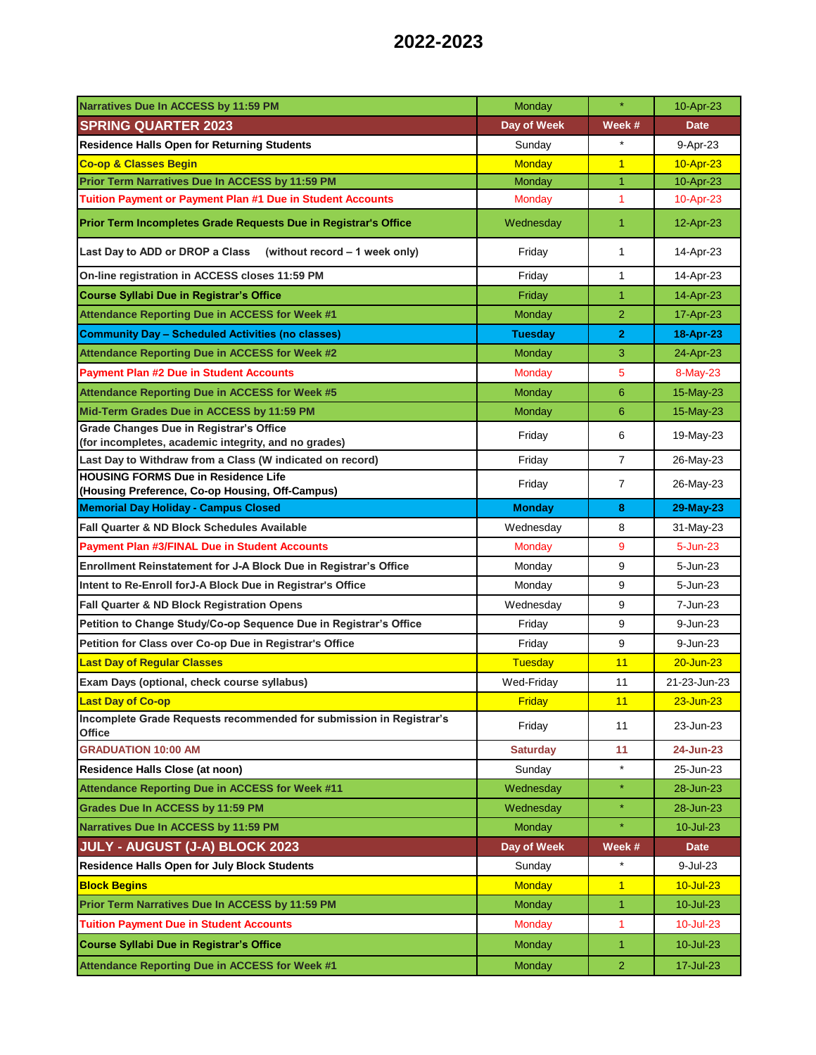| Narratives Due In ACCESS by 11:59 PM                                                                   | Monday           | ¥              | 10-Apr-23                    |
|--------------------------------------------------------------------------------------------------------|------------------|----------------|------------------------------|
| <b>SPRING QUARTER 2023</b>                                                                             | Day of Week      | Week #         | <b>Date</b>                  |
| <b>Residence Halls Open for Returning Students</b>                                                     | Sunday           |                | 9-Apr-23                     |
| <b>Co-op &amp; Classes Begin</b>                                                                       | <b>Monday</b>    | $\overline{1}$ | 10-Apr-23                    |
| Prior Term Narratives Due In ACCESS by 11:59 PM                                                        | Monday           | $\overline{1}$ | 10-Apr-23                    |
| Tuition Payment or Payment Plan #1 Due in Student Accounts                                             | Monday           | 1              | $10 -$ Apr $-23$             |
| Prior Term Incompletes Grade Requests Due in Registrar's Office                                        | Wednesday        | $\mathbf{1}$   | 12-Apr-23                    |
| Last Day to ADD or DROP a Class<br>(without record - 1 week only)                                      | Friday           | 1              | 14-Apr-23                    |
| On-line registration in ACCESS closes 11:59 PM                                                         | Friday           | $\mathbf{1}$   | 14-Apr-23                    |
| <b>Course Syllabi Due in Registrar's Office</b>                                                        | Friday           | $\overline{1}$ | 14-Apr-23                    |
| Attendance Reporting Due in ACCESS for Week #1                                                         | Monday           | $\overline{2}$ | 17-Apr-23                    |
| <b>Community Day - Scheduled Activities (no classes)</b>                                               | <b>Tuesday</b>   | $\mathbf{2}$   | 18-Apr-23                    |
| <b>Attendance Reporting Due in ACCESS for Week #2</b>                                                  | <b>Monday</b>    | 3              | 24-Apr-23                    |
| <b>Payment Plan #2 Due in Student Accounts</b>                                                         | <b>Monday</b>    | 5              | 8-May-23                     |
| <b>Attendance Reporting Due in ACCESS for Week #5</b>                                                  | Monday           | 6              | 15-May-23                    |
| Mid-Term Grades Due in ACCESS by 11:59 PM                                                              | Monday           | 6              | 15-May-23                    |
| <b>Grade Changes Due in Registrar's Office</b><br>(for incompletes, academic integrity, and no grades) | Friday           | 6              | 19-May-23                    |
| Last Day to Withdraw from a Class (W indicated on record)                                              | Friday           | $\overline{7}$ | 26-May-23                    |
| <b>HOUSING FORMS Due in Residence Life</b>                                                             | Friday           | $\overline{7}$ | 26-May-23                    |
| (Housing Preference, Co-op Housing, Off-Campus)<br><b>Memorial Day Holiday - Campus Closed</b>         | <b>Monday</b>    | 8              | 29-May-23                    |
| <b>Fall Quarter &amp; ND Block Schedules Available</b>                                                 | Wednesday        | 8              | 31-May-23                    |
| <b>Payment Plan #3/FINAL Due in Student Accounts</b>                                                   | <b>Monday</b>    | 9              | 5-Jun-23                     |
|                                                                                                        |                  |                |                              |
| Enrollment Reinstatement for J-A Block Due in Registrar's Office                                       | Monday           | 9              | 5-Jun-23                     |
| Intent to Re-Enroll for J-A Block Due in Registrar's Office                                            | Monday           | 9              | 5-Jun-23                     |
| Fall Quarter & ND Block Registration Opens                                                             | Wednesday        | 9              | 7-Jun-23                     |
| Petition to Change Study/Co-op Sequence Due in Registrar's Office                                      | Friday           | 9              | 9-Jun-23                     |
| Petition for Class over Co-op Due in Registrar's Office                                                | Friday           | 9              | 9-Jun-23                     |
| <b>Last Day of Regular Classes</b>                                                                     | Tuesday          | 11             | $20 - Jun-23$                |
| Exam Days (optional, check course syllabus)                                                            | Wed-Friday       | 11             | 21-23-Jun-23                 |
| <b>Last Day of Co-op</b><br>Incomplete Grade Requests recommended for submission in Registrar's        | Friday<br>Friday | 11<br>11       | $23 - Jun - 23$<br>23-Jun-23 |
| Office                                                                                                 |                  |                |                              |
| <b>GRADUATION 10:00 AM</b>                                                                             | <b>Saturday</b>  | 11             | 24-Jun-23                    |
| Residence Halls Close (at noon)                                                                        | Sunday           | $\star$        | 25-Jun-23                    |
| Attendance Reporting Due in ACCESS for Week #11                                                        | Wednesday        | $\star$        | 28-Jun-23                    |
| Grades Due In ACCESS by 11:59 PM                                                                       | Wednesday        | $\star$        | 28-Jun-23                    |
| Narratives Due In ACCESS by 11:59 PM                                                                   | <b>Monday</b>    |                | 10-Jul-23                    |
| JULY - AUGUST (J-A) BLOCK 2023                                                                         | Day of Week      | Week #         | <b>Date</b>                  |
| <b>Residence Halls Open for July Block Students</b>                                                    | Sunday           | $\star$        | 9-Jul-23                     |
| <b>Block Begins</b>                                                                                    | <b>Monday</b>    | $\overline{1}$ | $10 -$ Jul-23                |
| Prior Term Narratives Due In ACCESS by 11:59 PM                                                        | <b>Monday</b>    | $\mathbf{1}$   | 10-Jul-23                    |
| <b>Tuition Payment Due in Student Accounts</b>                                                         | <b>Monday</b>    | 1              | 10-Jul-23                    |
| <b>Course Syllabi Due in Registrar's Office</b>                                                        | <b>Monday</b>    | 1              | 10-Jul-23                    |
| Attendance Reporting Due in ACCESS for Week #1                                                         | <b>Monday</b>    | $\overline{2}$ | 17-Jul-23                    |